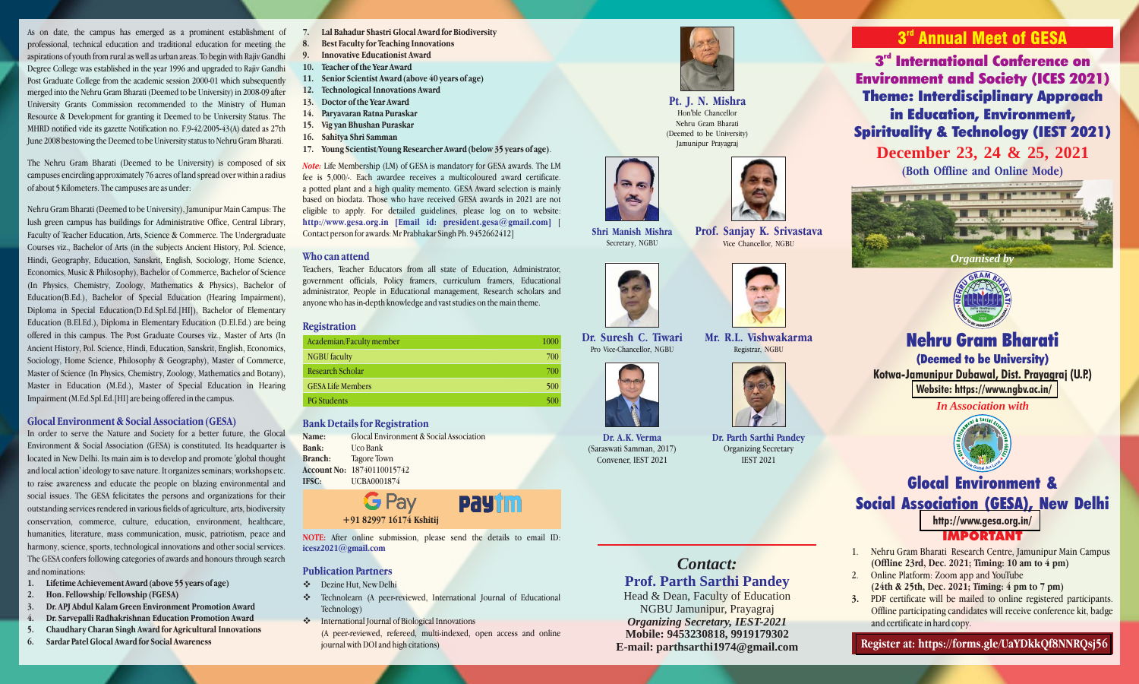As on date, the campus has emerged as a prominent establishment of professional, technical education and traditional education for meeting the aspirations of youth from rural as well as urban areas. To begin with Rajiv Gandhi Degree College was established in the year 1996 and upgraded to Rajiv Gandhi Post Graduate College from the academic session 2000-01 which subsequently merged into the Nehru Gram Bharati (Deemed to be University) in 2008-09 after University Grants Commission recommended to the Ministry of Human Resource & Development for granting it Deemed to be University Status. The MHRD notified vide its gazette Notification no. F.9-42/2005-43(A) dated as 27th June 2008 bestowing the Deemed to be University status to Nehru Gram Bharati.

The Nehru Gram Bharati (Deemed to be University) is composed of six campuses encircling approximately 76 acres of land spread over within a radius of about 5 Kilometers. The campuses are as under:

Nehru Gram Bharati (Deemed to be University), Jamunipur Main Campus: The lush green campus has buildings for Administrative Office, Central Library, Faculty of Teacher Education, Arts, Science & Commerce. The Undergraduate Courses viz., Bachelor of Arts (in the subjects Ancient History, Pol. Science, Hindi, Geography, Education, Sanskrit, English, Sociology, Home Science, Economics, Music & Philosophy), Bachelor of Commerce, Bachelor of Science (In Physics, Chemistry, Zoology, Mathematics & Physics), Bachelor of Education(B.Ed.), Bachelor of Special Education (Hearing Impairment), Diploma in Special Education(D.Ed.Spl.Ed.[HI]), Bachelor of Elementary Education (B.El.Ed.), Diploma in Elementary Education (D.El.Ed.) are being offered in this campus. The Post Graduate Courses viz., Master of Arts (In Ancient History, Pol. Science, Hindi, Education, Sanskrit, English, Economics, Sociology, Home Science, Philosophy & Geography), Master of Commerce, Master of Science (In Physics, Chemistry, Zoology, Mathematics and Botany), Master in Education (M.Ed.), Master of Special Education in Hearing Impairment (M.Ed.Spl.Ed.[HI] are being offered in the campus.

#### **Glocal Environment & Social Association (GESA)**

In order to serve the Nature and Society for a better future, the Glocal Environment & Social Association (GESA) is constituted. Its headquarter is located in New Delhi. Its main aim is to develop and promote 'global thought and local action' ideology to save nature. It organizes seminars; workshops etc. to raise awareness and educate the people on blazing environmental and social issues. The GESA felicitates the persons and organizations for their outstanding services rendered in various fields of agriculture, arts, biodiversity conservation, commerce, culture, education, environment, healthcare, humanities, literature, mass communication, music, patriotism, peace and harmony, science, sports, technological innovations and other social services. The GESA confers following categories of awards and honours through search and nominations:

- **1. Lifetime Achievement Award (above 55 years of age)**
- **2. Hon. Fellowship/ Fellowship (FGESA)**
- **3. Dr. APJ Abdul Kalam Green Environment Promotion Award**
- **4. Dr. Sarvepalli Radhakrishnan Education Promotion Award**
- **5. Chaudhary Charan Singh Award for Agricultural Innovations**
- **6. Sardar Patel Glocal Award for Social Awareness**
- **7. Lal Bahadur Shastri Glocal Award for Biodiversity**
- **8. Best Faculty for Teaching Innovations**
- **9. Innovative Educationist Award**
- **10. Teacher of the Year Award 11. Senior Scientist Award (above 40 years of age)**
- **12. Technological Innovations Award**
- **13. Doctor of the Year Award**
- **14. Paryavaran Ratna Puraskar**
- **15. Vig yan Bhushan Puraskar**
- **16. Sahitya Shri Samman**
- **17. Young Scientist/Young Researcher Award (below 35 years of age)**.

Note: Life Membership (LM) of GESA is mandatory for GESA awards. The LM fee is 5,000/-. Each awardee receives a multicoloured award certificate. a potted plant and a high quality memento. GESA Award selection is mainly based on biodata. Those who have received GESA awards in 2021 are not eligible to apply. For detailed guidelines, please log on to website: [ **http://www.gesa.org.in [Email id: president.gesa@gmail.com]** Contact person for awards: Mr Prabhakar Singh Ph. 9452662412]

#### **Who can attend**

Teachers, Teacher Educators from all state of Education, Administrator, government officials, Policy framers, curriculum framers, Educational administrator, People in Educational management, Research scholars and anyone who has in-depth knowledge and vast studies on the main theme.

#### **Registration**

| 1000 |
|------|
| 700  |
| 700  |
| 500  |
| 500  |
|      |

#### **Bank Details for Registration**

**Name:** Glocal Environment & Social Association **Bank:** Uco Bank **Branch:** Tagore Town **Account No:** 18740110015742 **IFSC:** UCBA0001874

**G** Pay **PAYTM +91 82997 16174 Kshitij**

NOTE: After online submission, please send the details to email ID: **icesz2021@gmail.com**

#### **Publication Partners**

- v Dezine Hut, New Delhi
- v Technolearn (A peer-reviewed, International Journal of Educational Technology)
- $\triangle$  International Journal of Biological Innovations
	- (A peer-reviewed, refereed, multi-indexed, open access and online journal with DOI and high citations)

# **Pt. J. N. Mishra**

Hon'ble Chancellor Nehru Gram Bharati (Deemed to be University) Jamunipur Prayagraj



**Prof. Sanjay K. Srivastava** Vice Chancellor, NGBU



**Mr. R.L. Vishwakarma** Registrar, NGBU



*Contact:*

**Prof. Parth Sarthi Pandey**

Head & Dean, Faculty of Education NGBU Jamunipur, Prayagraj *Organizing Secretary, IEST-2021* **Mobile: 9453230818, 9919179302 E-mail: parthsarthi1974@gmail.com**

**Dr. Parth Sarthi Pandey** Organizing Secretary IEST 2021



**3<sup>rd</sup> International Conference on Environment and Society (ICES 2021) Theme: Interdisciplinary Approach in Education, Environment, Spirituality & Technology (IEST 2021)**

**December 23, 24 & 25, 2021 (Both Offline and Online Mode)**





# **Nehru Gram Bharati**

**(Deemed to be University) Kotwa-Jamunipur Dubawal, Dist. Prayagraj (U.P.) [Website: https://www.ngbv.ac.in/](https://www.ngbv.ac.in/)**

*In Association with*



# **Glocal Environment & Social Association (GESA), New Delhi**

# **<http://www.gesa.org.in/>** IMPORTANT

- 1. Nehru Gram Bharati Research Centre, Jamunipur Main Campus **(Offline 23rd, Dec. 2021; Timing: 10 am to 4 pm)**
- 2. Online Platform: Zoom app and YouTube **(24th & 25th, Dec. 2021; Timing: 4 pm to 7 pm)**
- **3.** PDF certificate will be mailed to online registered participants. Offline participating candidates will receive conference kit, badge and certificate in hard copy.

**[Register at: https://forms.gle/UaYDkkQf8NNRQsj56](https://docs.google.com/forms/d/e/1FAIpQLScX56RzpG0NdYKV4UVXjcZYDfrtRBveLOvaIFz0iQODkawLXw/viewform)**



Pro Vice-Chancellor, NGBU

**Dr. A.K. Verma** (Saraswati Samman, 2017) Convener, IEST 2021

**Shri Manish Mishra** Secretary, NGBU